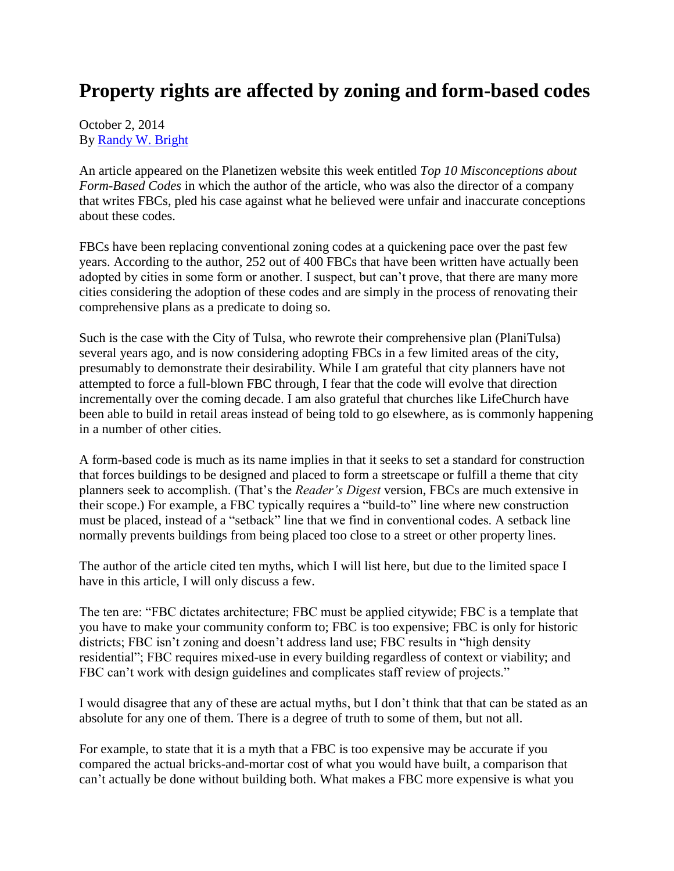## **Property rights are affected by zoning and form-based codes**

October 2, 2014 By [Randy W. Bright](http://www.tulsabeacon.com/author/slug-o6yd1v)

An article appeared on the Planetizen website this week entitled *Top 10 Misconceptions about Form-Based Codes* in which the author of the article, who was also the director of a company that writes FBCs, pled his case against what he believed were unfair and inaccurate conceptions about these codes.

FBCs have been replacing conventional zoning codes at a quickening pace over the past few years. According to the author, 252 out of 400 FBCs that have been written have actually been adopted by cities in some form or another. I suspect, but can't prove, that there are many more cities considering the adoption of these codes and are simply in the process of renovating their comprehensive plans as a predicate to doing so.

Such is the case with the City of Tulsa, who rewrote their comprehensive plan (PlaniTulsa) several years ago, and is now considering adopting FBCs in a few limited areas of the city, presumably to demonstrate their desirability. While I am grateful that city planners have not attempted to force a full-blown FBC through, I fear that the code will evolve that direction incrementally over the coming decade. I am also grateful that churches like LifeChurch have been able to build in retail areas instead of being told to go elsewhere, as is commonly happening in a number of other cities.

A form-based code is much as its name implies in that it seeks to set a standard for construction that forces buildings to be designed and placed to form a streetscape or fulfill a theme that city planners seek to accomplish. (That's the *Reader's Digest* version, FBCs are much extensive in their scope.) For example, a FBC typically requires a "build-to" line where new construction must be placed, instead of a "setback" line that we find in conventional codes. A setback line normally prevents buildings from being placed too close to a street or other property lines.

The author of the article cited ten myths, which I will list here, but due to the limited space I have in this article, I will only discuss a few.

The ten are: "FBC dictates architecture; FBC must be applied citywide; FBC is a template that you have to make your community conform to; FBC is too expensive; FBC is only for historic districts; FBC isn't zoning and doesn't address land use; FBC results in "high density residential"; FBC requires mixed-use in every building regardless of context or viability; and FBC can't work with design guidelines and complicates staff review of projects."

I would disagree that any of these are actual myths, but I don't think that that can be stated as an absolute for any one of them. There is a degree of truth to some of them, but not all.

For example, to state that it is a myth that a FBC is too expensive may be accurate if you compared the actual bricks-and-mortar cost of what you would have built, a comparison that can't actually be done without building both. What makes a FBC more expensive is what you